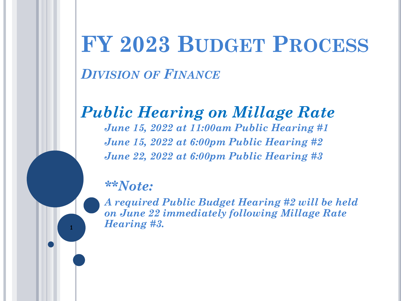# **FY 2023 BUDGET PROCESS**

*DIVISION OF FINANCE*

### *Public Hearing on Millage Rate*

*June 15, 2022 at 11:00am Public Hearing #1 June 15, 2022 at 6:00pm Public Hearing #2 June 22, 2022 at 6:00pm Public Hearing #3*

#### *\*\*Note:*

*A required Public Budget Hearing #2 will be held on June 22 immediately following Millage Rate Hearing #3.* **<sup>1</sup>**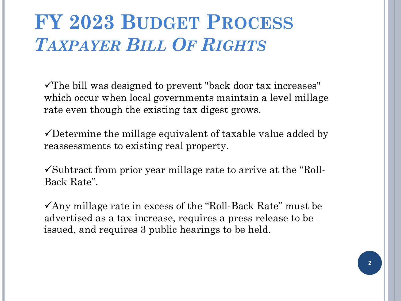### **FY 2023 BUDGET PROCESS** *TAXPAYER BILL OF RIGHTS*

 $\checkmark$ The bill was designed to prevent "back door tax increases" which occur when local governments maintain a level millage rate even though the existing tax digest grows.

 $\checkmark$  Determine the millage equivalent of taxable value added by reassessments to existing real property.

 $\checkmark$ Subtract from prior year millage rate to arrive at the "Roll-Back Rate".

 $\checkmark$ Any millage rate in excess of the "Roll-Back Rate" must be advertised as a tax increase, requires a press release to be issued, and requires 3 public hearings to be held.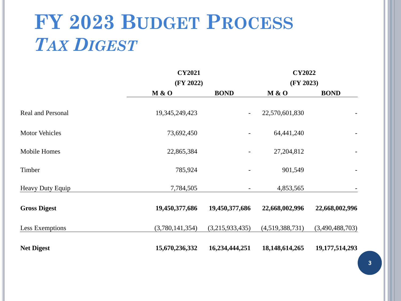### **FY 2023 BUDGET PROCESS** *TAX DIGEST*

|                          | <b>CY2021</b>   |                          | <b>CY2022</b>     |                   |
|--------------------------|-----------------|--------------------------|-------------------|-------------------|
|                          | (FY 2022)       |                          | (FY 2023)         |                   |
|                          | M & O           | <b>BOND</b>              | M & O             | <b>BOND</b>       |
| <b>Real and Personal</b> | 19,345,249,423  | $\overline{\phantom{a}}$ | 22,570,601,830    |                   |
| <b>Motor Vehicles</b>    | 73,692,450      |                          | 64,441,240        |                   |
| Mobile Homes             | 22,865,384      | $\overline{\phantom{a}}$ | 27,204,812        |                   |
| Timber                   | 785,924         |                          | 901,549           |                   |
| Heavy Duty Equip         | 7,784,505       |                          | 4,853,565         |                   |
| <b>Gross Digest</b>      | 19,450,377,686  | 19,450,377,686           | 22,668,002,996    | 22,668,002,996    |
| Less Exemptions          | (3,780,141,354) | (3,215,933,435)          | (4,519,388,731)   | (3,490,488,703)   |
| <b>Net Digest</b>        | 15,670,236,332  | 16,234,444,251           | 18, 148, 614, 265 | 19, 177, 514, 293 |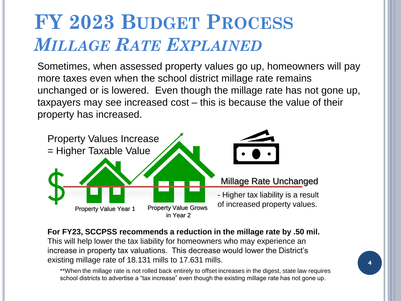### **FY 2023 BUDGET PROCESS** *MILLAGE RATE EXPLAINED*

Sometimes, when assessed property values go up, homeowners will pay more taxes even when the school district millage rate remains unchanged or is lowered. Even though the millage rate has not gone up, taxpayers may see increased cost – this is because the value of their property has increased.



**For FY23, SCCPSS recommends a reduction in the millage rate by .50 mil.** This will help lower the tax liability for homeowners who may experience an increase in property tax valuations. This decrease would lower the District's existing millage rate of 18.131 mills to 17.631 mills.

\*\*When the millage rate is not rolled back entirely to offset increases in the digest, state law requires school districts to advertise a "tax increase" even though the existing millage rate has not gone up.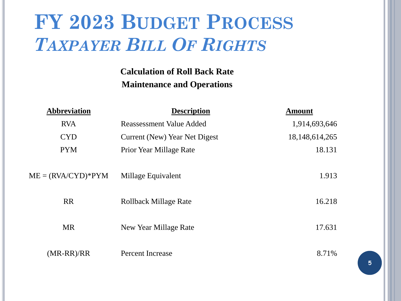### **FY 2023 BUDGET PROCESS** *TAXPAYER BILL OF RIGHTS*

#### **Calculation of Roll Back Rate Maintenance and Operations**

| <b>Abbreviation</b>  | <b>Description</b>              | <b>Amount</b>     |
|----------------------|---------------------------------|-------------------|
| <b>RVA</b>           | <b>Reassessment Value Added</b> | 1,914,693,646     |
| <b>CYD</b>           | Current (New) Year Net Digest   | 18, 148, 614, 265 |
| <b>PYM</b>           | Prior Year Millage Rate         | 18.131            |
| $ME = (RVA/CYD)*PYM$ | Millage Equivalent              | 1.913             |
| <b>RR</b>            | <b>Rollback Millage Rate</b>    | 16.218            |
|                      |                                 |                   |
| <b>MR</b>            | New Year Millage Rate           | 17.631            |
|                      |                                 |                   |
| $(MR-RR)/RR$         | Percent Increase                | 8.71%             |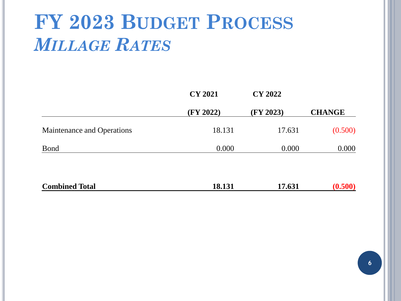## **FY 2023 BUDGET PROCESS** *MILLAGE RATES*

|                            | <b>CY 2021</b> | <b>CY 2022</b> |               |
|----------------------------|----------------|----------------|---------------|
|                            | (FY 2022)      | (FY 2023)      | <b>CHANGE</b> |
| Maintenance and Operations | 18.131         | 17.631         | (0.500)       |
| <b>Bond</b>                | 0.000          | 0.000          | 0.000         |
| <b>Combined Total</b>      | 18.131         | 17.631         | (0.500)       |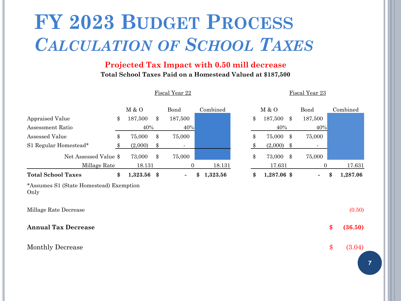### **FY 2023 BUDGET PROCESS** *CALCULATION OF SCHOOL TAXES*

#### **Projected Tax Impact with 0.50 mill decrease**

**Total School Taxes Paid on a Homestead Valued at \$187,500**

|                                                 |                   | Fiscal Year 22 |          |    |             | Fiscal Year 23 |                |
|-------------------------------------------------|-------------------|----------------|----------|----|-------------|----------------|----------------|
|                                                 | M & O             | Bond           | Combined |    | M & O       | Bond           | Combined       |
| <b>Appraised Value</b>                          | \$<br>187,500     | \$<br>187,500  |          | \$ | 187,500     | \$<br>187,500  |                |
| Assessment Ratio                                | 40%               | 40%            |          |    | 40%         | 40%            |                |
| Assessed Value                                  | \$<br>75,000      | \$<br>75,000   |          | \$ | 75,000      | \$<br>75,000   |                |
| S1 Regular Homestead*                           | \$<br>(2,000)     | \$             |          | \$ | (2,000)     | \$<br>٠        |                |
| Net Assessed Value \$                           | 73,000            | \$<br>75,000   |          | \$ | 73,000      | \$<br>75,000   |                |
| Millage Rate                                    | 18.131            | $\overline{0}$ | 18.131   |    | 17.631      | $\theta$       | 17.631         |
| <b>Total School Taxes</b>                       | \$<br>1,323.56 \$ | \$             | 1,323.56 | \$ | 1,287.06 \$ | $\blacksquare$ | \$<br>1,287.06 |
| *Assumes S1 (State Homestead) Exemption<br>Only |                   |                |          |    |             |                |                |
| Millage Rate Decrease                           |                   |                |          |    |             |                | (0.50)         |
| <b>Annual Tax Decrease</b>                      |                   |                |          |    |             |                | \$<br>(36.50)  |
| Monthly Decrease                                |                   |                |          |    |             |                | \$<br>(3.04)   |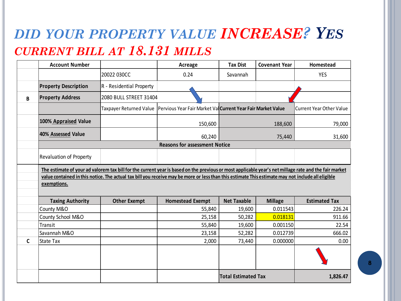#### *DID YOUR PROPERTY VALUE INCREASE? YES CURRENT BILL AT 18.131 MILLS*

|              | <b>Account Number</b>       |                                | Acreage                                                                                                                                                                                                                                                                                                    | <b>Tax Dist</b>            | <b>Covenant Year</b> | Homestead                       |
|--------------|-----------------------------|--------------------------------|------------------------------------------------------------------------------------------------------------------------------------------------------------------------------------------------------------------------------------------------------------------------------------------------------------|----------------------------|----------------------|---------------------------------|
|              |                             | 20022 030CC                    | 0.24                                                                                                                                                                                                                                                                                                       | Savannah                   |                      | <b>YES</b>                      |
|              | <b>Property Description</b> | R - Residential Property       |                                                                                                                                                                                                                                                                                                            |                            |                      |                                 |
| B            | <b>Property Address</b>     | 2080 BULL STREET 31404         |                                                                                                                                                                                                                                                                                                            |                            |                      |                                 |
|              |                             | <b>Taxpayer Returned Value</b> | Pervious Year Fair Market Val Current Year Fair Market Value                                                                                                                                                                                                                                               |                            |                      | <b>Current Year Other Value</b> |
|              | 100% Appraised Value        |                                | 150,600                                                                                                                                                                                                                                                                                                    |                            | 188,600              | 79,000                          |
|              | 40% Assessed Value          |                                | 60,240                                                                                                                                                                                                                                                                                                     |                            | 75,440               | 31,600                          |
|              |                             |                                | <b>Reasons for assessment Notice</b>                                                                                                                                                                                                                                                                       |                            |                      |                                 |
|              | Revaluation of Property     |                                |                                                                                                                                                                                                                                                                                                            |                            |                      |                                 |
|              | exemptions.                 |                                | The estimate of your ad valorem tax bill for the current year is based on the previous or most applicable year's net millage rate and the fair market<br>value contained in this notice. The actual tax bill you receive may be more or less than this estimate This estimate may not include all eligible |                            |                      |                                 |
|              | <b>Taxing Authority</b>     | <b>Other Exempt</b>            | <b>Homestead Exempt</b>                                                                                                                                                                                                                                                                                    | <b>Net Taxable</b>         | <b>Millage</b>       | <b>Estimated Tax</b>            |
|              | County M&O                  |                                | 55,840                                                                                                                                                                                                                                                                                                     | 19,600                     | 0.011543             | 226.24                          |
|              | County School M&O           |                                | 25,158                                                                                                                                                                                                                                                                                                     | 50,282                     | 0.018131             | 911.66                          |
|              | Transit                     |                                | 55,840                                                                                                                                                                                                                                                                                                     | 19,600                     | 0.001150             | 22.54                           |
|              | Savannah M&O                |                                | 23,158                                                                                                                                                                                                                                                                                                     | 52,282                     | 0.012739             | 666.02                          |
| $\mathsf{C}$ | <b>State Tax</b>            |                                | 2,000                                                                                                                                                                                                                                                                                                      | 73,440                     | 0.000000             | 0.00                            |
|              |                             |                                |                                                                                                                                                                                                                                                                                                            |                            |                      |                                 |
|              |                             |                                |                                                                                                                                                                                                                                                                                                            | <b>Total Estimated Tax</b> |                      | 1,826.47                        |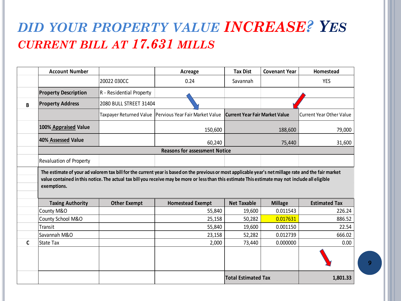### *DID YOUR PROPERTY VALUE INCREASE? YES CURRENT BILL AT 17.631 MILLS*

|   | <b>Account Number</b>          |                          | Acreage                                                                                                                                           | <b>Tax Dist</b>                       | <b>Covenant Year</b> | Homestead                       |
|---|--------------------------------|--------------------------|---------------------------------------------------------------------------------------------------------------------------------------------------|---------------------------------------|----------------------|---------------------------------|
|   |                                | 20022 030CC              | 0.24                                                                                                                                              | Savannah                              |                      | <b>YES</b>                      |
|   | <b>Property Description</b>    | R - Residential Property |                                                                                                                                                   |                                       |                      |                                 |
| B | <b>Property Address</b>        | 2080 BULL STREET 31404   |                                                                                                                                                   |                                       |                      |                                 |
|   |                                | Taxpayer Returned Value  | Pervious Year Fair Market Value                                                                                                                   | <b>Current Year Fair Market Value</b> |                      | <b>Current Year Other Value</b> |
|   | 100% Appraised Value           |                          | 150,600                                                                                                                                           |                                       | 188,600              | 79,000                          |
|   | 40% Assessed Value             |                          | 60,240                                                                                                                                            |                                       | 75,440               | 31,600                          |
|   |                                |                          | <b>Reasons for assessment Notice</b>                                                                                                              |                                       |                      |                                 |
|   | <b>Revaluation of Property</b> |                          |                                                                                                                                                   |                                       |                      |                                 |
|   | exemptions.                    |                          | value contained in this notice. The actual tax bill you receive may be more or less than this estimate This estimate may not include all eligible |                                       |                      |                                 |
|   | <b>Taxing Authority</b>        | <b>Other Exempt</b>      | <b>Homestead Exempt</b>                                                                                                                           | <b>Net Taxable</b>                    | <b>Millage</b>       | <b>Estimated Tax</b>            |
|   | County M&O                     |                          | 55,840                                                                                                                                            | 19,600                                | 0.011543             | 226.24                          |
|   | County School M&O              |                          | 25,158                                                                                                                                            | 50,282                                | 0.017631             | 886.52                          |
|   | Transit                        |                          | 55,840                                                                                                                                            | 19,600                                | 0.001150             | 22.54                           |
|   | Savannah M&O                   |                          | 23,158                                                                                                                                            | 52,282                                | 0.012739             | 666.02                          |
| C | <b>State Tax</b>               |                          | 2,000                                                                                                                                             | 73,440                                | 0.000000             | 0.00                            |
|   |                                |                          |                                                                                                                                                   | <b>Total Estimated Tax</b>            |                      | 1,801.33                        |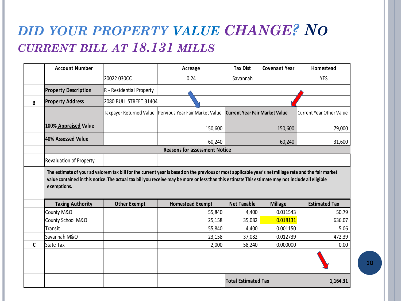#### *DID YOUR PROPERTY VALUE CHANGE? NO CURRENT BILL AT 18.131 MILLS*

|   | <b>Account Number</b>                  |                                | Acreage                                                                                                                                                                                                                                                                                                    | <b>Tax Dist</b>                       | <b>Covenant Year</b> | Homestead                |
|---|----------------------------------------|--------------------------------|------------------------------------------------------------------------------------------------------------------------------------------------------------------------------------------------------------------------------------------------------------------------------------------------------------|---------------------------------------|----------------------|--------------------------|
|   |                                        | 20022 030CC                    | 0.24                                                                                                                                                                                                                                                                                                       | Savannah                              |                      | <b>YES</b>               |
|   | <b>Property Description</b>            | R - Residential Property       |                                                                                                                                                                                                                                                                                                            |                                       |                      |                          |
| B | <b>Property Address</b>                | 2080 BULL STREET 31404         |                                                                                                                                                                                                                                                                                                            |                                       |                      |                          |
|   |                                        | <b>Taxpayer Returned Value</b> | Pervious Year Fair Market Value                                                                                                                                                                                                                                                                            | <b>Current Year Fair Market Value</b> |                      | Current Year Other Value |
|   | 100% Appraised Value                   |                                | 150,600                                                                                                                                                                                                                                                                                                    |                                       | 150,600              | 79,000                   |
|   | 40% Assessed Value                     |                                | 60,240                                                                                                                                                                                                                                                                                                     |                                       | 60,240               | 31,600                   |
|   |                                        |                                | <b>Reasons for assessment Notice</b>                                                                                                                                                                                                                                                                       |                                       |                      |                          |
|   |                                        |                                |                                                                                                                                                                                                                                                                                                            |                                       |                      |                          |
|   | Revaluation of Property<br>exemptions. |                                | The estimate of your ad valorem tax bill for the current year is based on the previous or most applicable year's net millage rate and the fair market<br>value contained in this notice. The actual tax bill you receive may be more or less than this estimate This estimate may not include all eligible |                                       |                      |                          |
|   |                                        |                                |                                                                                                                                                                                                                                                                                                            |                                       |                      |                          |
|   | <b>Taxing Authority</b>                | <b>Other Exempt</b>            | <b>Homestead Exempt</b>                                                                                                                                                                                                                                                                                    | <b>Net Taxable</b>                    | <b>Millage</b>       | <b>Estimated Tax</b>     |
|   | County M&O                             |                                | 55,840                                                                                                                                                                                                                                                                                                     | 4,400                                 | 0.011543             | 50.79                    |
|   | County School M&O                      |                                | 25,158                                                                                                                                                                                                                                                                                                     | 35,082                                | 0.018131             | 636.07                   |
|   | Transit<br>Savannah M&O                |                                | 55,840<br>23,158                                                                                                                                                                                                                                                                                           | 4,400<br>37,082                       | 0.001150<br>0.012739 | 5.06<br>472.39           |
| C | State Tax                              |                                | 2,000                                                                                                                                                                                                                                                                                                      | 58,240                                | 0.000000             | 0.00                     |
|   |                                        |                                |                                                                                                                                                                                                                                                                                                            |                                       |                      |                          |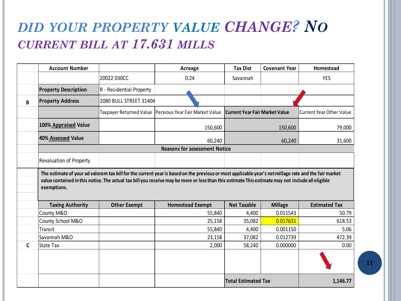#### *DID YOUR PROPERTY VALUE CHANGE? NO CURRENT BILL AT 17.631 MILLS*

|              | <b>Account Number</b>          |                          | Acreage                                                   | <b>Tax Dist</b>                       | <b>Covenant Year</b> | Homestead                       |
|--------------|--------------------------------|--------------------------|-----------------------------------------------------------|---------------------------------------|----------------------|---------------------------------|
|              |                                | 20022 030CC              | 0.24                                                      | Savannah                              |                      | <b>YES</b>                      |
|              | <b>Property Description</b>    | R - Residential Property |                                                           |                                       |                      |                                 |
| B            | <b>Property Address</b>        | 2080 BULL STREET 31404   |                                                           |                                       |                      |                                 |
|              |                                |                          | Taxpayer Returned Value   Pervious Year Fair Market Value | <b>Current Year Fair Market Value</b> |                      | <b>Current Year Other Value</b> |
|              | 100% Appraised Value           |                          | 150,600                                                   |                                       | 150,600              | 79,000                          |
|              | 40% Assessed Value             |                          | 60,240                                                    |                                       | 60,240               | 31,600                          |
|              |                                |                          | <b>Reasons for assessment Notice</b>                      |                                       |                      |                                 |
|              | <b>Revaluation of Property</b> |                          |                                                           |                                       |                      |                                 |
|              | <b>Taxing Authority</b>        | <b>Other Exempt</b>      | <b>Homestead Exempt</b>                                   | <b>Net Taxable</b>                    | <b>Millage</b>       | <b>Estimated Tax</b>            |
|              | County M&O                     |                          | 55,840                                                    | 4,400                                 | 0.011543             | 50.79                           |
|              | County School M&O              |                          | 25,158                                                    | 35,082                                | 0.017631             | 618.53                          |
|              | Transit                        |                          | 55,840                                                    | 4,400                                 | 0.001150             |                                 |
|              | Savannah M&O                   |                          | 23,158                                                    | 37,082                                | 0.012739             | 5.06                            |
|              |                                |                          |                                                           |                                       |                      | 472.39                          |
| $\mathsf{C}$ | <b>State Tax</b>               |                          | 2,000                                                     | 58,240                                | 0.000000             | 0.00                            |
|              |                                |                          |                                                           |                                       |                      |                                 |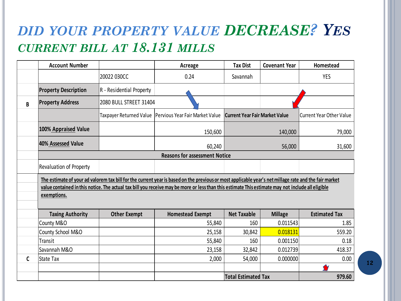### *DID YOUR PROPERTY VALUE DECREASE? YES CURRENT BILL AT 18.131 MILLS*

|              | <b>Account Number</b>       |                          | Acreage                                                                                                                                               | <b>Tax Dist</b>    | <b>Covenant Year</b> | Homestead                |
|--------------|-----------------------------|--------------------------|-------------------------------------------------------------------------------------------------------------------------------------------------------|--------------------|----------------------|--------------------------|
|              |                             | 20022 030CC              | 0.24                                                                                                                                                  | Savannah           |                      | <b>YES</b>               |
|              | <b>Property Description</b> | R - Residential Property |                                                                                                                                                       |                    |                      |                          |
| B            | <b>Property Address</b>     | 2080 BULL STREET 31404   |                                                                                                                                                       |                    |                      |                          |
|              |                             |                          | Taxpayer Returned Value   Pervious Year Fair Market Value   Current Year Fair Market Value                                                            |                    |                      | Current Year Other Value |
|              | 100% Appraised Value        |                          | 150,600                                                                                                                                               |                    | 140,000              | 79,000                   |
|              | 40% Assessed Value          |                          | 60,240                                                                                                                                                |                    | 56,000               | 31,600                   |
|              |                             |                          | <b>Reasons for assessment Notice</b>                                                                                                                  |                    |                      |                          |
|              | Revaluation of Property     |                          |                                                                                                                                                       |                    |                      |                          |
|              |                             |                          | The estimate of your ad valorem tax bill for the current year is based on the previous or most applicable year's net millage rate and the fair market |                    |                      |                          |
|              |                             |                          | value contained in this notice. The actual tax bill you receive may be more or less than this estimate This estimate may not include all eligible     |                    |                      |                          |
|              | exemptions.                 |                          |                                                                                                                                                       |                    |                      |                          |
|              | <b>Taxing Authority</b>     | <b>Other Exempt</b>      | <b>Homestead Exempt</b>                                                                                                                               | <b>Net Taxable</b> |                      |                          |
|              |                             |                          |                                                                                                                                                       |                    | <b>Millage</b>       | <b>Estimated Tax</b>     |
|              | County M&O                  |                          | 55,840                                                                                                                                                | 160                | 0.011543             | 1.85                     |
|              | County School M&O           |                          | 25,158                                                                                                                                                | 30,842             | 0.018131             | 559.20                   |
|              | Transit                     |                          | 55,840                                                                                                                                                | 160                | 0.001150             | 0.18                     |
|              | Savannah M&O                |                          | 23,158                                                                                                                                                | 32,842             | 0.012739             | 418.37                   |
| $\mathsf{C}$ | <b>State Tax</b>            |                          | 2,000                                                                                                                                                 | 54,000             | 0.000000             | 0.00                     |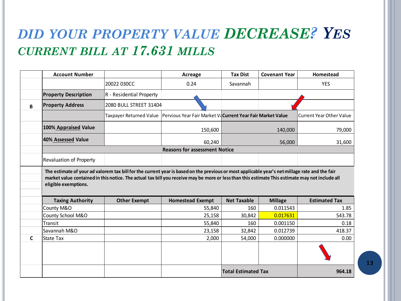#### *DID YOUR PROPERTY VALUE DECREASE? YES CURRENT BILL AT 17.631 MILLS*

|   | <b>Account Number</b>                           |                          | Acreage                                                                                                                                                                                                                                                                                           | <b>Tax Dist</b>    | <b>Covenant Year</b> | Homestead                |
|---|-------------------------------------------------|--------------------------|---------------------------------------------------------------------------------------------------------------------------------------------------------------------------------------------------------------------------------------------------------------------------------------------------|--------------------|----------------------|--------------------------|
|   |                                                 | 20022 030CC              | 0.24                                                                                                                                                                                                                                                                                              | Savannah           |                      | <b>YES</b>               |
|   | <b>Property Description</b>                     | R - Residential Property |                                                                                                                                                                                                                                                                                                   |                    |                      |                          |
| B | <b>Property Address</b>                         | 2080 BULL STREET 31404   |                                                                                                                                                                                                                                                                                                   |                    |                      |                          |
|   |                                                 | Taxpayer Returned Value  | Pervious Year Fair Market Va Current Year Fair Market Value                                                                                                                                                                                                                                       |                    |                      | Current Year Other Value |
|   | 100% Appraised Value                            |                          | 150,600                                                                                                                                                                                                                                                                                           |                    | 140,000              | 79,000                   |
|   | 40% Assessed Value                              |                          | 60,240                                                                                                                                                                                                                                                                                            |                    | 56,000               | 31,600                   |
|   |                                                 |                          | <b>Reasons for assessment Notice</b>                                                                                                                                                                                                                                                              |                    |                      |                          |
|   |                                                 |                          |                                                                                                                                                                                                                                                                                                   |                    |                      |                          |
|   | Revaluation of Property<br>eligible exemptions. |                          | The estimate of your ad valorem tax bill for the current year is based on the previous or most applicable year's net millage rate and the fair<br>market value contained in this notice. The actual tax bill you receive may be more or less than this estimate This estimate may not include all |                    |                      |                          |
|   |                                                 |                          |                                                                                                                                                                                                                                                                                                   |                    |                      |                          |
|   | <b>Taxing Authority</b>                         | <b>Other Exempt</b>      | <b>Homestead Exempt</b>                                                                                                                                                                                                                                                                           | <b>Net Taxable</b> | <b>Millage</b>       | <b>Estimated Tax</b>     |
|   | County M&O                                      |                          | 55,840                                                                                                                                                                                                                                                                                            | 160                | 0.011543             | 1.85                     |
|   | County School M&O                               |                          | 25,158                                                                                                                                                                                                                                                                                            | 30,842             | 0.017631             | 543.78                   |
|   | Transit<br>Savannah M&O                         |                          | 55,840<br>23,158                                                                                                                                                                                                                                                                                  | 160<br>32,842      | 0.001150<br>0.012739 | 0.18<br>418.37           |
| C | State Tax                                       |                          | 2,000                                                                                                                                                                                                                                                                                             | 54,000             | 0.000000             | 0.00                     |
|   |                                                 |                          |                                                                                                                                                                                                                                                                                                   |                    |                      |                          |
|   |                                                 |                          |                                                                                                                                                                                                                                                                                                   |                    |                      |                          |